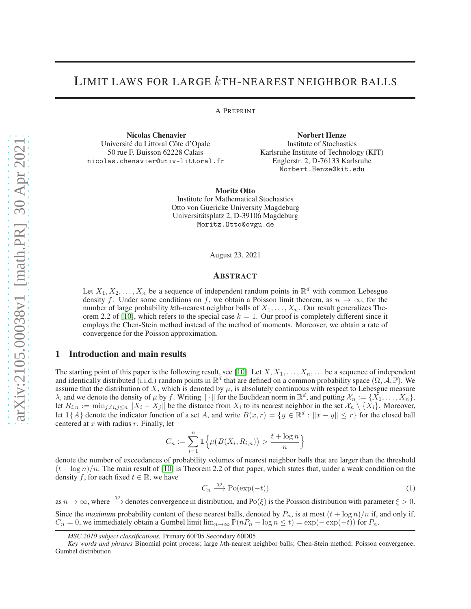# LIMIT LAWS FOR LARGE kTH-NEAREST NEIGHBOR BALLS

A PREPRINT

Nicolas Chenavier Université du Littoral Côte d'Opale 50 rue F. Buisson 62228 Calais nicolas.chenavier@univ-littoral.fr

Norbert Henze Institute of Stochastics Karlsruhe Institute of Technology (KIT) Englerstr. 2, D-76133 Karlsruhe Norbert.Henze@kit.edu

Moritz Otto Institute for Mathematical Stochastics Otto von Guericke University Magdeburg Universitätsplatz 2, D-39106 Magdeburg Moritz.Otto@ovgu.de

August 23, 2021

## ABSTRACT

Let  $X_1, X_2, \ldots, X_n$  be a sequence of independent random points in  $\mathbb{R}^d$  with common Lebesgue density f. Under some conditions on f, we obtain a Poisson limit theorem, as  $n \to \infty$ , for the number of large probability kth-nearest neighbor balls of  $X_1, \ldots, X_n$ . Our result generalizes The-orem 2.2 of [\[10\]](#page-10-0), which refers to the special case  $k = 1$ . Our proof is completely different since it employs the Chen-Stein method instead of the method of moments. Moreover, we obtain a rate of convergence for the Poisson approximation.

# 1 Introduction and main results

The starting point of this paper is the following result, see [\[10\]](#page-10-0). Let  $X, X_1, \ldots, X_n, \ldots$  be a sequence of independent and identically distributed (i.i.d.) random points in  $\mathbb{R}^d$  that are defined on a common probability space  $(\Omega, \mathcal{A}, \mathbb{P})$ . We assume that the distribution of X, which is denoted by  $\mu$ , is absolutely continuous with respect to Lebesgue measure  $\lambda$ , and we denote the density of  $\mu$  by f. Writing  $\|\cdot\|$  for the Euclidean norm in  $\mathbb{R}^d$ , and putting  $\mathcal{X}_n := \{X_1, \ldots, X_n\}$ , let  $R_{i,n} := \min_{j \neq i,j \leq n} ||X_i - X_j||$  be the distance from  $X_i$  to its nearest neighbor in the set  $\mathcal{X}_n \setminus \{X_i\}$ . Moreover, let  $1\{A\}$  denote the indicator function of a set A, and write  $B(x,r) = \{y \in \mathbb{R}^d : ||x - y|| \leq r\}$  for the closed ball centered at  $x$  with radius  $r$ . Finally, let

$$
C_n := \sum_{i=1}^n \mathbf{1}\Big\{\mu\big(B(X_i, R_{i,n})\big) > \frac{t + \log n}{n}\Big\}
$$

denote the number of exceedances of probability volumes of nearest neighbor balls that are larger than the threshold  $(t + \log n)/n$ . The main result of [\[10\]](#page-10-0) is Theorem 2.2 of that paper, which states that, under a weak condition on the density f, for each fixed  $t \in \mathbb{R}$ , we have

<span id="page-0-0"></span>
$$
C_n \xrightarrow{\mathcal{D}} \text{Po}(\exp(-t))\tag{1}
$$

as  $n \to \infty$ , where  $\stackrel{\mathcal{D}}{\longrightarrow}$  denotes convergence in distribution, and Po( $\xi$ ) is the Poisson distribution with parameter  $\xi > 0$ .

Since the *maximum* probability content of these nearest balls, denoted by  $P_n$ , is at most  $(t + \log n)/n$  if, and only if,  $C_n = 0$ , we immediately obtain a Gumbel limit  $\lim_{n\to\infty} \mathbb{P}(nP_n - \log n \le t) = \exp(-\exp(-t))$  for  $P_n$ .

*MSC 2010 subject classifications.* Primary 60F05 Secondary 60D05

*Key words and phrases* Binomial point process; large kth-nearest neighbor balls; Chen-Stein method; Poisson convergence; Gumbel distribution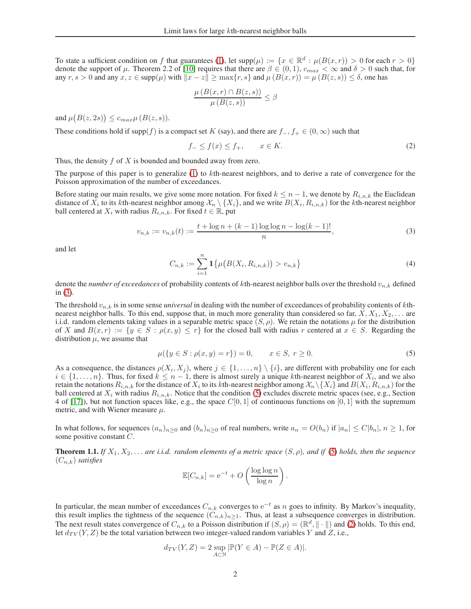To state a sufficient condition on f that guarantees [\(1\)](#page-0-0), let  $supp(\mu) := \{x \in \mathbb{R}^d : \mu(B(x,r)) > 0 \text{ for each } r > 0\}$ denote the support of  $\mu$ . Theorem 2.2 of [\[10\]](#page-10-0) requires that there are  $\beta \in (0,1)$ ,  $c_{max} < \infty$  and  $\delta > 0$  such that, for any  $r, s > 0$  and any  $x, z \in \text{supp}(\mu)$  with  $||x - z|| \ge \max\{r, s\}$  and  $\mu(B(x, r)) = \mu(B(z, s)) \le \delta$ , one has

<span id="page-1-2"></span>
$$
\frac{\mu(B(x,r) \cap B(z,s))}{\mu(B(z,s))} \le \beta
$$

and  $\mu(B(z, 2s)) \leq c_{max} \mu(B(z, s)).$ 

These conditions hold if supp(f) is a compact set K (say), and there are  $f_-, f_+ \in (0, \infty)$  such that

$$
f_- \le f(x) \le f_+, \qquad x \in K. \tag{2}
$$

Thus, the density  $f$  of  $X$  is bounded and bounded away from zero.

The purpose of this paper is to generalize  $(1)$  to  $k$ th-nearest neighbors, and to derive a rate of convergence for the Poisson approximation of the number of exceedances.

Before stating our main results, we give some more notation. For fixed  $k \leq n-1$ , we denote by  $R_{i,n,k}$  the Euclidean distance of  $X_i$  to its kth-nearest neighbor among  $\mathcal{X}_n\setminus\{X_i\}$ , and we write  $B(X_i,R_{i,n,k})$  for the kth-nearest neighbor ball centered at  $X_i$  with radius  $R_{i,n,k}$ . For fixed  $t \in \mathbb{R}$ , put

$$
v_{n,k} := v_{n,k}(t) := \frac{t + \log n + (k-1)\log\log n - \log(k-1)!}{n},\tag{3}
$$

<span id="page-1-4"></span>and let

<span id="page-1-0"></span>
$$
C_{n,k} := \sum_{i=1}^{n} 1\{\mu\big(B(X_i, R_{i,n,k})\big) > v_{n,k}\}\tag{4}
$$

denote the *number of exceedances* of probability contents of kth-nearest neighbor balls over the threshold  $v_{n,k}$  defined in [\(3\)](#page-1-0).

The threshold  $v_{n,k}$  is in some sense *universal* in dealing with the number of exceedances of probability contents of kthnearest neighbor balls. To this end, suppose that, in much more generality than considered so far,  $X, X_1, X_2, \ldots$  are i.i.d. random elements taking values in a separable metric space  $(S, \rho)$ . We retain the notations  $\mu$  for the distribution of X and  $B(x, r) := \{y \in S : \rho(x, y) \leq r\}$  for the closed ball with radius r centered at  $x \in S$ . Regarding the distribution  $\mu$ , we assume that

<span id="page-1-1"></span>
$$
\mu({y \in S : \rho(x, y) = r}) = 0, \qquad x \in S, r \ge 0.
$$
\n(5)

As a consequence, the distances  $\rho(X_i, X_j)$ , where  $j \in \{1, ..., n\} \setminus \{i\}$ , are different with probability one for each  $i \in \{1, \ldots, n\}$ . Thus, for fixed  $k \leq n-1$ , there is almost surely a unique kth-nearest neighbor of  $X_i$ , and we also retain the notations  $R_{i,n,k}$  for the distance of  $X_i$  to its  $k$ th-nearest neighbor among  $\mathcal{X}_n\backslash\{X_i\}$  and  $B(X_i,R_{i,n,k})$  for the ball centered at  $X_i$  with radius  $R_{i,n,k}$ . Notice that the condition [\(5\)](#page-1-1) excludes discrete metric spaces (see, e.g., Section 4 of [\[17\]](#page-10-1)), but not function spaces like, e.g., the space  $C[0, 1]$  of continuous functions on [0, 1] with the supremum metric, and with Wiener measure  $\mu$ .

In what follows, for sequences  $(a_n)_{n>0}$  and  $(b_n)_{n>0}$  of real numbers, write  $a_n = O(b_n)$  if  $|a_n| \leq C|b_n|, n \geq 1$ , for some positive constant C.

<span id="page-1-3"></span>**Theorem 1.1.** *If*  $X_1, X_2, \ldots$  *are i.i.d. random elements of a metric space*  $(S, \rho)$ *, and if* [\(5\)](#page-1-1) *holds, then the sequence*  $(C_{n,k})$  *satisfies* 

$$
\mathbb{E}[C_{n,k}] = e^{-t} + O\left(\frac{\log \log n}{\log n}\right).
$$

In particular, the mean number of exceedances  $C_{n,k}$  converges to  $e^{-t}$  as n goes to infinity. By Markov's inequality, this result implies the tightness of the sequence  $(C_{n,k})_{n\geq 1}$ . Thus, at least a subsequence converges in distribution. The next result states convergence of  $C_{n,k}$  to a Poisson distribution if  $(S, \rho) = (\mathbb{R}^d, \| \cdot \|)$  and [\(2\)](#page-1-2) holds. To this end, let  $d_{TV}(Y, Z)$  be the total variation between two integer-valued random variables Y and Z, i.e.,

$$
d_{TV}(Y, Z) = 2 \sup_{A \subset \mathbb{N}} |\mathbb{P}(Y \in A) - \mathbb{P}(Z \in A)|.
$$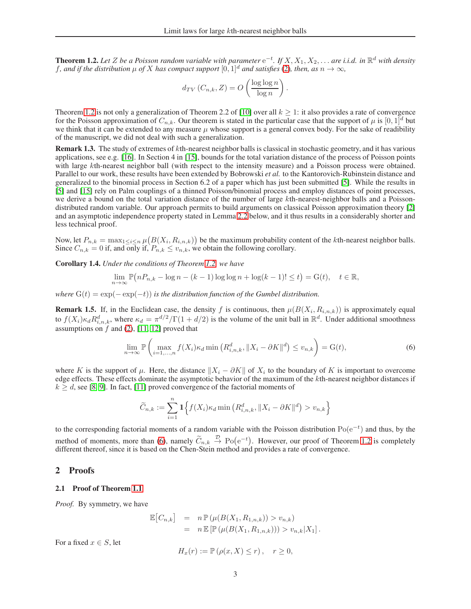<span id="page-2-0"></span>**Theorem 1.2.** Let Z be a Poisson random variable with parameter  $e^{-t}$ . If  $X, X_1, X_2, ...$  are i.i.d. in  $\mathbb{R}^d$  with density f, and if the distribution  $\mu$  of X has compact support  $[0, 1]^d$  and satisfies [\(2\)](#page-1-2), then, as  $n \to \infty$ ,

$$
d_{TV}(C_{n,k}, Z) = O\left(\frac{\log \log n}{\log n}\right).
$$

Theorem [1.2](#page-2-0) is not only a generalization of Theorem 2.2 of [\[10\]](#page-10-0) over all  $k \ge 1$ : it also provides a rate of convergence for the Poisson approximation of  $C_{n,k}$ . Our theorem is stated in the particular case that the support of  $\mu$  is  $[0, 1]^d$  but we think that it can be extended to any measure  $\mu$  whose support is a general convex body. For the sake of readibility of the manuscript, we did not deal with such a generalization.

Remark 1.3. The study of extremes of kth-nearest neighbor balls is classical in stochastic geometry, and it has various applications, see e.g. [\[16\]](#page-10-2). In Section 4 in [\[15\]](#page-10-3), bounds for the total variation distance of the process of Poisson points with large kth-nearest neighbor ball (with respect to the intensity measure) and a Poisson process were obtained. Parallel to our work, these results have been extended by Bobrowski *et al.* to the Kantorovich-Rubinstein distance and generalized to the binomial process in Section 6.2 of a paper which has just been submitted [\[5\]](#page-9-0). While the results in [\[5\]](#page-9-0) and [\[15\]](#page-10-3) rely on Palm couplings of a thinned Poisson/binomial process and employ distances of point processes, we derive a bound on the total variation distance of the number of large kth-nearest-neighbor balls and a Poissondistributed random variable. Our approach permits to build arguments on classical Poisson approximation theory [\[2\]](#page-9-1) and an asymptotic independence property stated in Lemma [2.2](#page-4-0) below, and it thus results in a considerably shorter and less technical proof.

Now, let  $P_{n,k} = \max_{1 \leq i \leq n} \mu(B(X_i, R_{i,n,k}))$  be the maximum probability content of the kth-nearest neighbor balls. Since  $C_{n,k} = 0$  if, and only if,  $P_{n,k} \le v_{n,k}$ , we obtain the following corollary.

Corollary 1.4. *Under the conditions of Theorem [1.2,](#page-2-0) we have*

$$
\lim_{n \to \infty} \mathbb{P}\big(nP_{n,k} - \log n - (k-1)\log\log n + \log(k-1)! \le t\big) = G(t), \quad t \in \mathbb{R},
$$

*where*  $G(t) = \exp(-\exp(-t))$  *is the distribution function of the Gumbel distribution.* 

**Remark 1.5.** If, in the Euclidean case, the density f is continuous, then  $\mu(B(X_i, R_{i,n,k}))$  is approximately equal to  $f(X_i) \kappa_d R_{i,n,k}^d$ , where  $\kappa_d = \pi^{d/2} / \Gamma(1 + d/2)$  is the volume of the unit ball in  $\mathbb{R}^d$ . Under additional smoothness assumptions on  $\hat{f}$  and [\(2\)](#page-1-2), [\[11,](#page-10-4) [12\]](#page-10-5) proved that

<span id="page-2-1"></span>
$$
\lim_{n \to \infty} \mathbb{P}\left(\max_{i=1,\dots,n} f(X_i)\kappa_d \min\left(R_{i,n,k}^d, \|X_i - \partial K\|^d\right) \le v_{n,k}\right) = \mathcal{G}(t),\tag{6}
$$

where K is the support of  $\mu$ . Here, the distance  $||X_i - \partial K||$  of  $X_i$  to the boundary of K is important to overcome edge effects. These effects dominate the asymptotic behavior of the maximum of the kth-nearest neighbor distances if  $k \ge d$ , see [\[8,](#page-10-6) [9\]](#page-10-7). In fact, [\[11\]](#page-10-4) proved convergence of the factorial moments of

$$
\widetilde{C}_{n,k} := \sum_{i=1}^{n} \mathbf{1} \Big\{ f(X_i) \kappa_d \min \left( R_{i,n,k}^d, \|X_i - \partial K\|^d \right) > v_{n,k} \Big\}
$$

to the corresponding factorial moments of a random variable with the Poisson distribution  $Po(e^{-t})$  and thus, by the method of moments, more than [\(6\)](#page-2-1), namely  $\widetilde{C}_{n,k} \stackrel{\mathcal{D}}{\rightarrow} Po(e^{-t})$ . However, our proof of Theorem [1.2](#page-2-0) is completely different thereof, since it is based on the Chen-Stein method and provides a rate of convergence.

## 2 Proofs

#### 2.1 Proof of Theorem [1.1](#page-1-3)

*Proof.* By symmetry, we have

$$
\mathbb{E}[C_{n,k}] = n \mathbb{P}(\mu(B(X_1, R_{1,n,k})) > v_{n,k})
$$
  
=  $n \mathbb{E}[\mathbb{P}(\mu(B(X_1, R_{1,n,k}))) > v_{n,k}|X_1].$ 

For a fixed  $x \in S$ , let

$$
H_x(r) := \mathbb{P}\left(\rho(x, X) \le r\right), \quad r \ge 0,
$$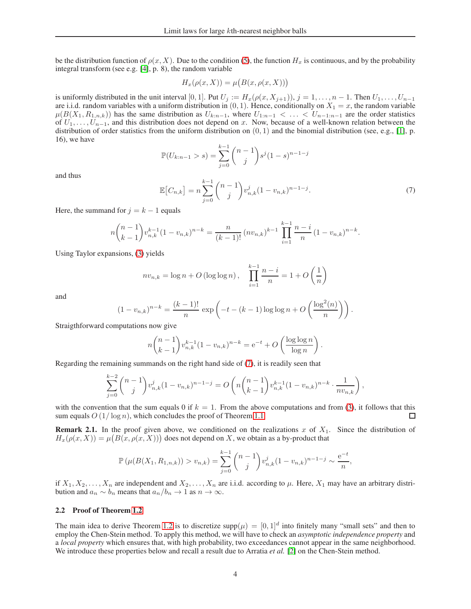be the distribution function of  $\rho(x, X)$ . Due to the condition [\(5\)](#page-1-1), the function  $H_x$  is continuous, and by the probability integral transform (see e.g. [\[4\]](#page-9-2), p. 8), the random variable

$$
H_x(\rho(x, X)) = \mu(B(x, \rho(x, X)))
$$

is uniformly distributed in the unit interval [0, 1]. Put  $U_j := H_x(\rho(x, X_{j+1})), j = 1, \ldots, n-1$ . Then  $U_1, \ldots, U_{n-1}$ are i.i.d. random variables with a uniform distribution in  $(0, 1)$ . Hence, conditionally on  $X_1 = x$ , the random variable  $\mu(B(X_1, R_{1,n,k}))$  has the same distribution as  $U_{k:n-1}$ , where  $U_{1:n-1} < \ldots < U_{n-1:n-1}$  are the order statistics of  $U_1, \ldots, U_{n-1}$ , and this distribution does not depend on x. Now, because of a well-known relation between the distribution of order statistics from the uniform distribution on  $(0, 1)$  and the binomial distribution (see, e.g., [\[1\]](#page-9-3), p. 16), we have

$$
\mathbb{P}(U_{k:n-1} > s) = \sum_{j=0}^{k-1} {n-1 \choose j} s^j (1-s)^{n-1-j}
$$

<span id="page-3-0"></span>and thus

$$
\mathbb{E}\left[C_{n,k}\right] = n \sum_{j=0}^{k-1} {n-1 \choose j} v_{n,k}^j (1 - v_{n,k})^{n-1-j}.
$$
 (7)

Here, the summand for  $j = k - 1$  equals

$$
n\binom{n-1}{k-1}v_{n,k}^{k-1}(1-v_{n,k})^{n-k} = \frac{n}{(k-1)!}(nv_{n,k})^{k-1}\prod_{i=1}^{k-1}\frac{n-i}{n}(1-v_{n,k})^{n-k}.
$$

Using Taylor expansions, [\(3\)](#page-1-0) yields

$$
nv_{n,k} = \log n + O(\log \log n), \quad \prod_{i=1}^{k-1} \frac{n-i}{n} = 1 + O\left(\frac{1}{n}\right)
$$

and

$$
(1 - v_{n,k})^{n-k} = \frac{(k-1)!}{n} \exp\left(-t - (k-1)\log\log n + O\left(\frac{\log^{2}(n)}{n}\right)\right).
$$

Straigthforward computations now give

$$
n \binom{n-1}{k-1} v_{n,k}^{k-1} (1 - v_{n,k})^{n-k} = e^{-t} + O\left(\frac{\log \log n}{\log n}\right).
$$

Regarding the remaining summands on the right hand side of [\(7\)](#page-3-0), it is readily seen that

$$
\sum_{j=0}^{k-2} {n-1 \choose j} v_{n,k}^j (1-v_{n,k})^{n-1-j} = O\left(n {n-1 \choose k-1} v_{n,k}^{k-1} (1-v_{n,k})^{n-k} \cdot \frac{1}{nv_{n,k}}\right),
$$

with the convention that the sum equals 0 if  $k = 1$ . From the above computations and from [\(3\)](#page-1-0), it follows that this sum equals  $O(1/\log n)$ , which concludes the proof of Theorem [1.1.](#page-1-3) □

<span id="page-3-1"></span>**Remark 2.1.** In the proof given above, we conditioned on the realizations x of  $X_1$ . Since the distribution of  $H_x(\rho(x,X)) = \mu(B(x,\rho(x,X)))$  does not depend on X, we obtain as a by-product that

$$
\mathbb{P}(\mu(B(X_1, R_{1,n,k})) > v_{n,k}) = \sum_{j=0}^{k-1} {n-1 \choose j} v_{n,k}^j (1 - v_{n,k})^{n-1-j} \sim \frac{e^{-t}}{n},
$$

if  $X_1, X_2, \ldots, X_n$  are independent and  $X_2, \ldots, X_n$  are i.i.d. according to  $\mu$ . Here,  $X_1$  may have an arbitrary distribution and  $a_n \sim b_n$  means that  $a_n/b_n \to 1$  as  $n \to \infty$ .

## 2.2 Proof of Theorem [1.2](#page-2-0)

The main idea to derive Theorem [1.2](#page-2-0) is to discretize supp $(\mu) = [0, 1]^d$  into finitely many "small sets" and then to employ the Chen-Stein method. To apply this method, we will have to check an *asymptotic independence property* and a *local property* which ensures that, with high probability, two exceedances cannot appear in the same neighborhood. We introduce these properties below and recall a result due to Arratia *et al.* [\[2\]](#page-9-1) on the Chen-Stein method.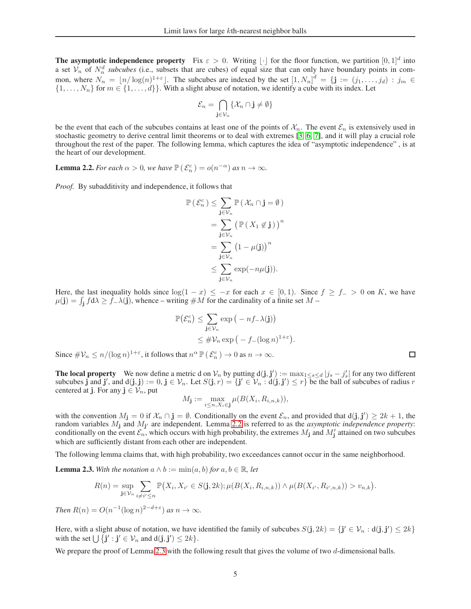**The asymptotic independence property** Fix  $\varepsilon > 0$ . Writing  $\lfloor \cdot \rfloor$  for the floor function, we partition  $[0,1]^d$  into a set  $V_n$  of  $N_n^d$  *subcubes* (i.e., subsets that are cubes) of equal size that can only have boundary points in common, where  $N_n = \lfloor n/\log(n)^{1+\epsilon} \rfloor$ . The subcubes are indexed by the set  $\left[1, N_n\right]^d = \{ \mathbf{j} := (j_1, \ldots, j_d) : j_m \in \mathbb{N} \}$  $\{1, \ldots, N_n\}$  for  $m \in \{1, \ldots, d\}$ . With a slight abuse of notation, we identify a cube with its index. Let

$$
\mathcal{E}_n = \bigcap_{\mathbf{j} \in \mathcal{V}_n} \{\mathcal{X}_n \cap \mathbf{j} \neq \emptyset\}
$$

be the event that each of the subcubes contains at least one of the points of  $\mathcal{X}_n$ . The event  $\mathcal{E}_n$  is extensively used in stochastic geometry to derive central limit theorems or to deal with extremes [\[3,](#page-9-4) [6,](#page-10-8) [7\]](#page-10-9), and it will play a crucial role throughout the rest of the paper. The following lemma, which captures the idea of "asymptotic independence" , is at the heart of our development.

<span id="page-4-0"></span>**Lemma 2.2.** *For each*  $\alpha > 0$ *, we have*  $\mathbb{P}(\mathcal{E}_n^c) = o(n^{-\alpha})$  *as*  $n \to \infty$ *.* 

*Proof.* By subadditivity and independence, it follows that

$$
\mathbb{P}(\mathcal{E}_n^c) \leq \sum_{\mathbf{j} \in \mathcal{V}_n} \mathbb{P}(\mathcal{X}_n \cap \mathbf{j} = \emptyset)
$$
  
= 
$$
\sum_{\mathbf{j} \in \mathcal{V}_n} \left( \mathbb{P}(\mathcal{X}_1 \notin \mathbf{j}) \right)^n
$$
  
= 
$$
\sum_{\mathbf{j} \in \mathcal{V}_n} \left( 1 - \mu(\mathbf{j}) \right)^n
$$
  

$$
\leq \sum_{\mathbf{j} \in \mathcal{V}_n} \exp(-n\mu(\mathbf{j})).
$$

Here, the last inequality holds since  $\log(1 - x) \leq -x$  for each  $x \in [0,1)$ . Since  $f \geq f_{-} > 0$  on K, we have  $\mu(j) = \int_j f d\lambda \ge \dot{f} - \lambda(j)$ , whence – writing  $\#M$  for the cardinality of a finite set  $M$  –

$$
\mathbb{P}(\mathcal{E}_n^c) \le \sum_{\mathbf{j} \in \mathcal{V}_n} \exp(-nf_-\lambda(\mathbf{j}))
$$
  
\$\leq \#\mathcal{V}\_n \exp(-f\_-(\log n)^{1+\varepsilon})\$.

Since  $\#\mathcal{V}_n \leq n/(\log n)^{1+\varepsilon}$ , it follows that  $n^{\alpha} \mathbb{P}(\mathcal{E}_n^c) \to 0$  as  $n \to \infty$ .

**The local property** We now define a metric d on  $V_n$  by putting  $d(j, j') := \max_{1 \leq s \leq d} |j_s - j'_s|$  for any two different subcubes j and j', and  $d(j, j) := 0, j \in V_n$ . Let  $S(j, r) = \{j' \in V_n : d(j, j') \leq r\}$  be the ball of subcubes of radius r centered at j. For any  $j \in \mathcal{V}_n$ , put

$$
M_{\mathbf{j}} := \max_{i \le n, X_i \in \mathbf{j}} \mu(B(X_i, R_{i,n,k})),
$$

with the convention  $M_j = 0$  if  $\mathcal{X}_n \cap j = \emptyset$ . Conditionally on the event  $\mathcal{E}_n$ , and provided that  $d(j, j') \ge 2k + 1$ , the random variables  $M_j$  and  $M_{j'}$  are independent. Lemma [2.2](#page-4-0) is referred to as the *asymptotic independence property*: conditionally on the event  $\mathcal{E}_n$ , which occurs with high probability, the extremes  $M_j$  and  $M'_j$  attained on two subcubes which are sufficiently distant from each other are independent.

The following lemma claims that, with high probability, two exceedances cannot occur in the same neighborhood.

<span id="page-4-1"></span>**Lemma 2.3.** With the notation  $a \wedge b := \min(a, b)$  for  $a, b \in \mathbb{R}$ , let

$$
R(n) = \sup_{\mathbf{j}\in\mathcal{V}_n}\sum_{i\neq i'\leq n}\mathbb{P}\big(X_i,X_{i'}\in S(\mathbf{j},2k);\mu(B(X_i,R_{i,n,k}))\wedge\mu(B(X_{i'},R_{i',n,k}))>v_{n,k}\big).
$$

*Then*  $R(n) = O(n^{-1}(\log n)^{2-d+\epsilon})$  *as*  $n \to \infty$ *.* 

Here, with a slight abuse of notation, we have identified the family of subcubes  $S(j, 2k) = \{j' \in V_n : d(j, j') \leq 2k\}$ with the set  $\bigcup \{ \mathbf{j}' : \mathbf{j}' \in \mathcal{V}_n \text{ and } d(\mathbf{j}, \mathbf{j}') \leq 2k \}.$ 

We prepare the proof of Lemma [2.3](#page-4-1) with the following result that gives the volume of two d-dimensional balls.

 $\Box$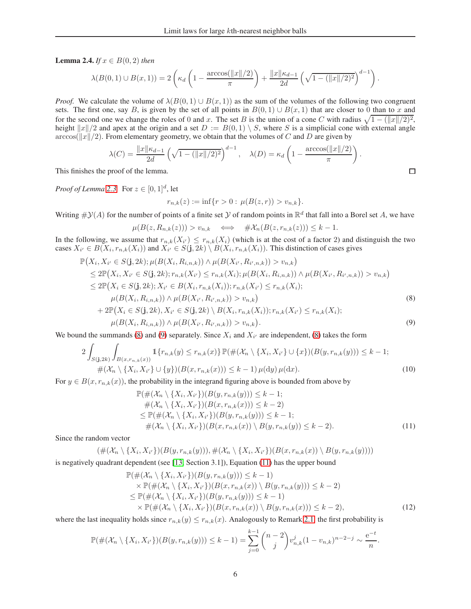<span id="page-5-4"></span>**Lemma 2.4.** *If*  $x \in B(0, 2)$  *then* 

$$
\lambda(B(0,1)\cup B(x,1)) = 2\left(\kappa_d \left(1 - \frac{\arccos(\|x\|/2)}{\pi}\right) + \frac{\|x\|\kappa_{d-1}}{2d} \left(\sqrt{1 - (\|x\|/2)^2}\right)^{d-1}\right)
$$

*Proof.* We calculate the volume of  $\lambda(B(0,1) \cup B(x,1))$  as the sum of the volumes of the following two congruent sets. The first one, say B, is given by the set of all points in  $B(0, 1) \cup B(x, 1)$  that are closer to 0 than to x and for the second one we change the roles of 0 and x. The set B is the union of a cone C with radius  $\sqrt{1-(||x||/2)^2}$ , height  $||x||/2$  and apex at the origin and a set  $D := B(0, 1) \setminus S$ , where S is a simplicial cone with external angle  $arccos(||x||/2)$ . From elementary geometry, we obtain that the volumes of C and D are given by

$$
\lambda(C) = \frac{\|x\| \kappa_{d-1}}{2d} \left( \sqrt{1 - (\|x\|/2)^2} \right)^{d-1}, \quad \lambda(D) = \kappa_d \left( 1 - \frac{\arccos(\|x\|/2)}{\pi} \right).
$$

This finishes the proof of the lemma.

*Proof of Lemma* [2.3.](#page-4-1) For  $z \in [0,1]^d$ , let

$$
r_{n,k}(z) := \inf\{r > 0 : \mu(B(z,r)) > v_{n,k}\}.
$$

Writing  $\#\mathcal{Y}(A)$  for the number of points of a finite set  $\mathcal Y$  of random points in  $\mathbb R^d$  that fall into a Borel set A, we have

$$
\mu(B(z, R_{n,k}(z))) > v_{n,k} \quad \Longleftrightarrow \quad \# \mathcal{X}_n(B(z, r_{n,k}(z))) \leq k - 1.
$$

In the following, we assume that  $r_{n,k}(X_i) \leq r_{n,k}(X_i)$  (which is at the cost of a factor 2) and distinguish the two cases  $X_{i'} \in B(X_i, r_{n,k}(X_i))$  and  $X_{i'} \in S(\mathbf{j}, 2k) \setminus B(X_i, r_{n,k}(X_i))$ . This distinction of cases gives

$$
\mathbb{P}(X_{i}, X_{i'} \in S(\mathbf{j}, 2k); \mu(B(X_{i}, R_{i,n,k})) \wedge \mu(B(X_{i'}, R_{i',n,k})) > v_{n,k})
$$
\n
$$
\leq 2\mathbb{P}(X_{i}, X_{i'} \in S(\mathbf{j}, 2k); r_{n,k}(X_{i'}) \leq r_{n,k}(X_{i}); \mu(B(X_{i}, R_{i,n,k})) \wedge \mu(B(X_{i'}, R_{i',n,k})) > v_{n,k})
$$
\n
$$
\leq 2\mathbb{P}(X_{i} \in S(\mathbf{j}, 2k); X_{i'} \in B(X_{i}, r_{n,k}(X_{i})); r_{n,k}(X_{i'}) \leq r_{n,k}(X_{i});
$$
\n
$$
\mu(B(X_{i}, R_{i,n,k})) \wedge \mu(B(X_{i'}, R_{i',n,k})) > v_{n,k})
$$
\n
$$
+ 2\mathbb{P}(X_{i} \in S(\mathbf{j}, 2k), X_{i'} \in S(\mathbf{j}, 2k) \setminus B(X_{i}, r_{n,k}(X_{i})); r_{n,k}(X_{i'}) \leq r_{n,k}(X_{i});
$$
\n
$$
\mu(B(X_{i}, R_{i,n,k})) \wedge \mu(B(X_{i'}, R_{i',n,k})) > v_{n,k}).
$$
\n(9)

We bound the summands [\(8\)](#page-5-0) and [\(9\)](#page-5-1) separately. Since  $X_i$  and  $X_{i'}$  are independent, (8) takes the form

$$
2\int_{S(j,2k)}\int_{B(x,r_{n,k}(x))}1\{r_{n,k}(y)\leq r_{n,k}(x)\}\mathbb{P}(\#(\mathcal{X}_n\setminus\{X_i,X_{i'}\}\cup\{x\})(B(y,r_{n,k}(y)))\leq k-1;\\ \#(\mathcal{X}_n\setminus\{X_i,X_{i'}\}\cup\{y\})(B(x,r_{n,k}(x)))\leq k-1)\,\mu(\mathrm{d}y)\,\mu(\mathrm{d}x). \tag{10}
$$

For  $y \in B(x, r_{n,k}(x))$ , the probability in the integrand figuring above is bounded from above by

$$
\mathbb{P}(\#(\mathcal{X}_n \setminus \{X_i, X_{i'}\})(B(y, r_{n,k}(y))) \leq k - 1; \n\#(\mathcal{X}_n \setminus \{X_i, X_{i'}\})(B(x, r_{n,k}(x))) \leq k - 2) \n\leq \mathbb{P}(\#(\mathcal{X}_n \setminus \{X_i, X_{i'}\})(B(y, r_{n,k}(y))) \leq k - 1; \n\#(\mathcal{X}_n \setminus \{X_i, X_{i'}\})(B(x, r_{n,k}(x)) \setminus B(y, r_{n,k}(y))) \leq k - 2).
$$
\n(11)

Since the random vector

$$
(\#(\mathcal{X}_n \setminus \{X_i, X_{i'}\})(B(y, r_{n,k}(y))), \#(\mathcal{X}_n \setminus \{X_i, X_{i'}\})(B(x, r_{n,k}(x)) \setminus B(y, r_{n,k}(y))))
$$

is negatively quadrant dependent (see [\[13,](#page-10-10) Section 3.1]), Equation [\(11\)](#page-5-2) has the upper bound

<span id="page-5-3"></span>
$$
\mathbb{P}(\#(\mathcal{X}_n \setminus \{X_i, X_{i'}\})(B(y, r_{n,k}(y))) \leq k - 1) \times \mathbb{P}(\#(\mathcal{X}_n \setminus \{X_i, X_{i'}\})(B(x, r_{n,k}(x)) \setminus B(y, r_{n,k}(y))) \leq k - 2) \leq \mathbb{P}(\#(\mathcal{X}_n \setminus \{X_i, X_{i'}\})(B(y, r_{n,k}(y))) \leq k - 1) \times \mathbb{P}(\#(\mathcal{X}_n \setminus \{X_i, X_{i'}\})(B(x, r_{n,k}(x)) \setminus B(y, r_{n,k}(x))) \leq k - 2),
$$
\n(12)

where the last inequality holds since  $r_{n,k}(y) \leq r_{n,k}(x)$ . Analogously to Remark [2.1,](#page-3-1) the first probability is

$$
\mathbb{P}(\#(\mathcal{X}_n \setminus \{X_i, X_{i'}\})(B(y, r_{n,k}(y))) \leq k-1) = \sum_{j=0}^{k-1} {n-2 \choose j} v_{n,k}^j (1 - v_{n,k})^{n-2-j} \sim \frac{e^{-t}}{n}.
$$

<span id="page-5-2"></span><span id="page-5-1"></span><span id="page-5-0"></span> $\Box$ 

.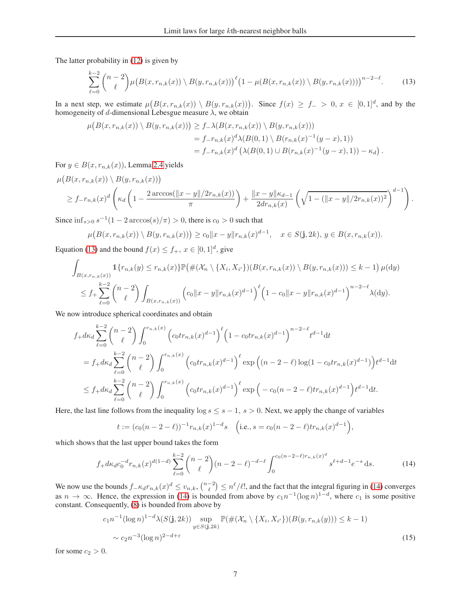The latter probability in [\(12\)](#page-5-3) is given by

<span id="page-6-0"></span>
$$
\sum_{\ell=0}^{k-2} {n-2 \choose \ell} \mu(B(x, r_{n,k}(x)) \setminus B(y, r_{n,k}(x)))^{\ell} \left(1 - \mu(B(x, r_{n,k}(x)) \setminus B(y, r_{n,k}(x)))\right)^{n-2-\ell}.
$$
 (13)

In a next step, we estimate  $\mu(B(x, r_{n,k}(x)) \setminus B(y, r_{n,k}(x)))$ . Since  $f(x) \ge f$   $> 0, x \in [0, 1]^d$ , and by the homogeneity of d-dimensional Lebesgue measure  $\lambda$ , we obtain

$$
\mu(B(x, r_{n,k}(x)) \setminus B(y, r_{n,k}(x))) \ge f_{-\lambda}(B(x, r_{n,k}(x)) \setminus B(y, r_{n,k}(x)))
$$
  
=  $f_{-}r_{n,k}(x)^d \lambda(B(0, 1) \setminus B(r_{n,k}(x)^{-1}(y-x), 1))$   
=  $f_{-}r_{n,k}(x)^d (\lambda(B(0, 1) \cup B(r_{n,k}(x)^{-1}(y-x), 1)) - \kappa_d).$ 

For  $y \in B(x, r_{n,k}(x))$ , Lemma [2.4](#page-5-4) yields

$$
\mu\big(B(x, r_{n,k}(x)) \setminus B(y, r_{n,k}(x))\big) \geq f-r_{n,k}(x)^d \left(\kappa_d \left(1 - \frac{2 \arccos(\|x-y\|/2r_{n,k}(x))}{\pi}\right) + \frac{\|x-y\| \kappa_{d-1}}{2dr_{n,k}(x)} \left(\sqrt{1 - (\|x-y\|/2r_{n,k}(x))^2}\right)^{d-1}\right).
$$

Since  $\inf_{s>0} s^{-1}(1-2\arccos(s)/\pi) > 0$ , there is  $c_0 > 0$  such that

$$
\mu\big(B(x,r_{n,k}(x))\setminus B(y,r_{n,k}(x))\big)\geq c_0\|x-y\|r_{n,k}(x)^{d-1},\quad x\in S(\mathbf{j},2k),\ y\in B(x,r_{n,k}(x)).
$$

Equation [\(13\)](#page-6-0) and the bound  $f(x) \le f_+$ ,  $x \in [0, 1]^d$ , give

$$
\int_{B(x,r_{n,k}(x))} 1\{r_{n,k}(y) \le r_{n,k}(x)\} \mathbb{P}\left(\#(\mathcal{X}_n \setminus \{X_i, X_{i'}\}) (B(x,r_{n,k}(x)) \setminus B(y,r_{n,k}(x))) \le k-1\right) \mu(\mathrm{d}y)
$$
\n
$$
\le f_+ \sum_{\ell=0}^{k-2} {n-2 \choose \ell} \int_{B(x,r_{n,k}(x))} (c_0 \|x-y\| r_{n,k}(x)^{d-1})^{\ell} \left(1-c_0 \|x-y\| r_{n,k}(x)^{d-1}\right)^{n-2-\ell} \lambda(\mathrm{d}y).
$$

We now introduce spherical coordinates and obtain

$$
f_{+}d\kappa_{d} \sum_{\ell=0}^{k-2} {n-2 \choose \ell} \int_{0}^{r_{n,k}(x)} \left( c_{0}tr_{n,k}(x)^{d-1} \right)^{\ell} \left( 1 - c_{0}tr_{n,k}(x)^{d-1} \right)^{n-2-\ell} t^{d-1} dt
$$
  
\n
$$
= f_{+}d\kappa_{d} \sum_{\ell=0}^{k-2} {n-2 \choose \ell} \int_{0}^{r_{n,k}(x)} \left( c_{0}tr_{n,k}(x)^{d-1} \right)^{\ell} \exp \left( (n-2-\ell) \log(1 - c_{0}tr_{n,k}(x)^{d-1}) \right) t^{d-1} dt
$$
  
\n
$$
\leq f_{+}d\kappa_{d} \sum_{\ell=0}^{k-2} {n-2 \choose \ell} \int_{0}^{r_{n,k}(x)} \left( c_{0}tr_{n,k}(x)^{d-1} \right)^{\ell} \exp \left( -c_{0} (n-2-\ell)tr_{n,k}(x)^{d-1} \right) t^{d-1} dt.
$$

Here, the last line follows from the inequality  $\log s \leq s - 1$ ,  $s > 0$ . Next, we apply the change of variables

<span id="page-6-1"></span>
$$
t := (c_0(n-2-\ell))^{-1} r_{n,k}(x)^{1-d}s \quad \left(\text{i.e., } s = c_0(n-2-\ell)tr_{n,k}(x)^{d-1}\right),
$$

which shows that the last upper bound takes the form

$$
f_{+}dk_{d}c_{0}^{-d}r_{n,k}(x)^{d(1-d)}\sum_{\ell=0}^{k-2}\binom{n-2}{\ell}(n-2-\ell)^{-d-\ell}\int_{0}^{c_{0}(n-2-\ell)r_{n,k}(x)^{d}}s^{\ell+d-1}e^{-s}\,\mathrm{d}s.\tag{14}
$$

We now use the bounds  $f_{-\kappa_d}r_{n,k}(x)^d \le v_{n,k}$ ,  $\binom{n-2}{\ell} \le n^{\ell}/\ell!$ , and the fact that the integral figuring in [\(14\)](#page-6-1) converges as  $n \to \infty$ . Hence, the expression in [\(14\)](#page-6-1) is bounded from above by  $c_1 n^{-1} (\log n)^{1-d}$ , where  $c_1$  is some positive constant. Consequently, [\(8\)](#page-5-0) is bounded from above by

<span id="page-6-2"></span>
$$
c_1 n^{-1} (\log n)^{1-d} \lambda(S(\mathbf{j}, 2k)) \sup_{y \in S(\mathbf{j}, 2k)} \mathbb{P}(\#(\mathcal{X}_n \setminus \{X_i, X_{i'}\}) (B(y, r_{n,k}(y))) \le k - 1)
$$
  
~  $\sim c_2 n^{-3} (\log n)^{2-d+\varepsilon}$  (15)

for some  $c_2 > 0$ .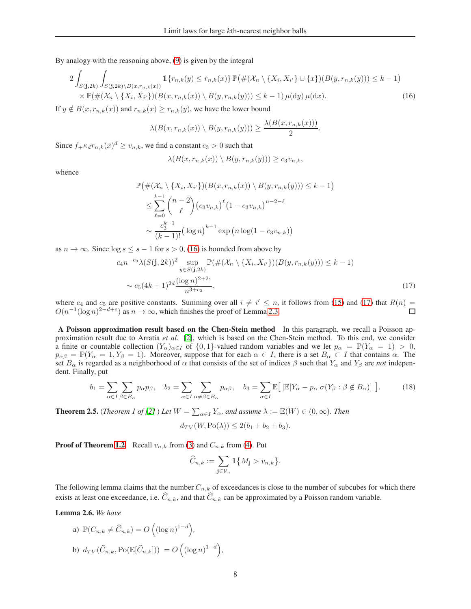By analogy with the reasoning above, [\(9\)](#page-5-1) is given by the integral

$$
2\int_{S(\mathbf{j},2k)} \int_{S(\mathbf{j},2k)\backslash B(x,r_{n,k}(x))} \mathbb{1}\{r_{n,k}(y) \le r_{n,k}(x)\} \mathbb{P}\big(\#(\mathcal{X}_n \setminus \{X_i, X_{i'}\} \cup \{x\})(B(y,r_{n,k}(y))) \le k-1\big) \times \mathbb{P}(\#(\mathcal{X}_n \setminus \{X_i, X_{i'}\})(B(x,r_{n,k}(x)) \setminus B(y,r_{n,k}(y))) \le k-1) \,\mu(\mathrm{d}y) \,\mu(\mathrm{d}x). \tag{16}
$$

If  $y \notin B(x, r_{n,k}(x))$  and  $r_{n,k}(x) \ge r_{n,k}(y)$ , we have the lower bound

$$
\lambda(B(x,r_{n,k}(x))\setminus B(y,r_{n,k}(y)))\geq \frac{\lambda(B(x,r_{n,k}(x)))}{2}.
$$

Since  $f_{+} \kappa_d r_{n,k}(x)^d \ge v_{n,k}$ , we find a constant  $c_3 > 0$  such that

<span id="page-7-0"></span>
$$
\lambda(B(x,r_{n,k}(x))\setminus B(y,r_{n,k}(y)))\geq c_3v_{n,k},
$$

whence

$$
\mathbb{P}(\#(\mathcal{X}_n \setminus \{X_i, X_{i'}\}) (B(x, r_{n,k}(x)) \setminus B(y, r_{n,k}(y))) \leq k - 1)
$$
  

$$
\leq \sum_{\ell=0}^{k-1} {n-2 \choose \ell} (c_3 v_{n,k})^{\ell} (1 - c_3 v_{n,k})^{n-2-\ell}
$$
  

$$
\sim \frac{c_3^{k-1}}{(k-1)!} (\log n)^{k-1} \exp(n \log(1 - c_3 v_{n,k}))
$$

as  $n \to \infty$ . Since  $\log s \leq s - 1$  for  $s > 0$ , [\(16\)](#page-7-0) is bounded from above by

$$
c_4 n^{-c_3} \lambda(S(\mathbf{j}, 2k))^2 \sup_{y \in S(\mathbf{j}, 2k)} \mathbb{P}(\#(\mathcal{X}_n \setminus \{X_i, X_{i'}\}) (B(y, r_{n,k}(y))) \le k - 1)
$$
  
 
$$
\sim c_5 (4k+1)^{2d} \frac{(\log n)^{2+2\varepsilon}}{n^{3+c_3}},
$$
 (17)

where  $c_4$  and  $c_5$  are positive constants. Summing over all  $i \neq i' \leq n$ , it follows from [\(15\)](#page-6-2) and [\(17\)](#page-7-1) that  $R(n) =$  $O(n^{-1}(\log n)^{2-d+\epsilon})$  as  $n \to \infty$ , which finishes the proof of Lemma [2.3.](#page-4-1)  $\Box$ 

A Poisson approximation result based on the Chen-Stein method In this paragraph, we recall a Poisson approximation result due to Arratia *et al.* [\[2\]](#page-9-1), which is based on the Chen-Stein method. To this end, we consider a finite or countable collection  $(Y_\alpha)_{\alpha \in I}$  of  $\{0,1\}$ -valued random variables and we let  $p_\alpha = \mathbb{P}(Y_\alpha = 1) > 0$ ,  $p_{\alpha\beta} = \mathbb{P}(Y_{\alpha} = 1, Y_{\beta} = 1)$ . Moreover, suppose that for each  $\alpha \in I$ , there is a set  $B_{\alpha} \subset I$  that contains  $\alpha$ . The set  $B_\alpha$  is regarded as a neighborhood of  $\alpha$  that consists of the set of indices  $\beta$  such that  $Y_\alpha$  and  $Y_\beta$  are *not* independent. Finally, put

<span id="page-7-3"></span>
$$
b_1 = \sum_{\alpha \in I} \sum_{\beta \in B_{\alpha}} p_{\alpha} p_{\beta}, \quad b_2 = \sum_{\alpha \in I} \sum_{\alpha \neq \beta \in B_{\alpha}} p_{\alpha \beta}, \quad b_3 = \sum_{\alpha \in I} \mathbb{E}\big[ \, |\mathbb{E}[Y_{\alpha} - p_{\alpha} | \sigma(Y_{\beta} : \beta \notin B_{\alpha})]| \, \big]. \tag{18}
$$

<span id="page-7-2"></span>**Theorem 2.5.** (*Theorem 1 of [\[2\]](#page-9-1)* ) Let  $W = \sum_{\alpha \in I} Y_{\alpha}$ , and assume  $\lambda := \mathbb{E}(W) \in (0, \infty)$ . Then

<span id="page-7-1"></span>
$$
d_{TV}(W, Po(\lambda)) \le 2(b_1 + b_2 + b_3).
$$

**Proof of Theorem [1.2](#page-2-0)** Recall  $v_{n,k}$  from [\(3\)](#page-1-0) and  $C_{n,k}$  from [\(4\)](#page-1-4). Put

$$
\widehat{C}_{n,k} := \sum_{\mathbf{j} \in \mathcal{V}_n} \mathbbm{1}\big\{M_{\mathbf{j}} > v_{n,k}\big\}.
$$

The following lemma claims that the number  $C_{n,k}$  of exceedances is close to the number of subcubes for which there exists at least one exceedance, i.e.  $\widehat{C}_{n,k}$ , and that  $\widehat{C}_{n,k}$  can be approximated by a Poisson random variable.

<span id="page-7-4"></span>Lemma 2.6. *We have*

a) 
$$
\mathbb{P}(C_{n,k} \neq \widehat{C}_{n,k}) = O\left((\log n)^{1-d}\right),
$$
  
b)  $d_{TV}(\widehat{C}_{n,k}, \text{Po}(\mathbb{E}[\widehat{C}_{n,k}])) = O\left((\log n)^{1-d}\right),$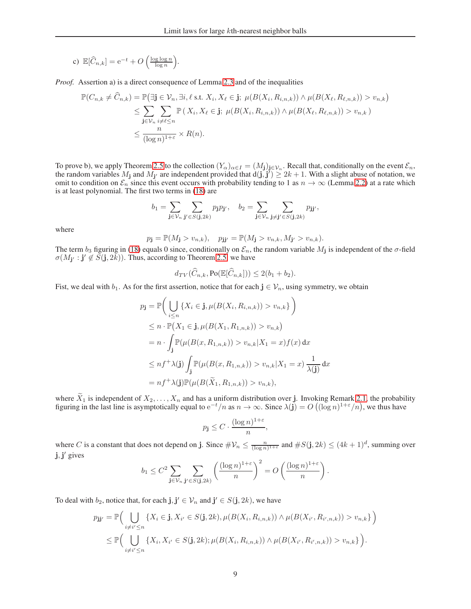c) 
$$
\mathbb{E}[\widehat{C}_{n,k}] = e^{-t} + O\left(\frac{\log \log n}{\log n}\right).
$$

*Proof.* Assertion a) is a direct consequence of Lemma [2.3](#page-4-1) and of the inequalities

$$
\mathbb{P}(C_{n,k} \neq \widehat{C}_{n,k}) = \mathbb{P}(\exists \mathbf{j} \in \mathcal{V}_n, \exists i, \ell \text{ s.t. } X_i, X_\ell \in \mathbf{j}; \ \mu(B(X_i, R_{i,n,k})) \land \mu(B(X_\ell, R_{\ell,n,k})) > v_{n,k})
$$
  
\n
$$
\leq \sum_{\mathbf{j} \in \mathcal{V}_n} \sum_{i \neq \ell \leq n} \mathbb{P}(X_i, X_\ell \in \mathbf{j}; \ \mu(B(X_i, R_{i,n,k})) \land \mu(B(X_\ell, R_{\ell,n,k})) > v_{n,k})
$$
  
\n
$$
\leq \frac{n}{(\log n)^{1+\varepsilon}} \times R(n).
$$

To prove b), we apply Theorem [2.5](#page-7-2) to the collection  $(Y_\alpha)_{\alpha \in I} = (M_j)_{j \in \mathcal{V}_n}$ . Recall that, conditionally on the event  $\mathcal{E}_n$ , the random variables  $M_j$  and  $M_{j'}$  are independent provided that  $d(j, j') \ge 2k + 1$ . With a slight abuse of notation, we omit to condition on  $\mathcal{E}_n$  since this event occurs with probability tending to 1 as  $n \to \infty$  (Lemma [2.2\)](#page-4-0) at a rate which is at least polynomial. The first two terms in [\(18\)](#page-7-3) are

$$
b_1=\sum_{\mathbf{j}\in \mathcal{V}_n}\sum_{\mathbf{j}'\in S(\mathbf{j},2k)}p_{\mathbf{j}}p_{\mathbf{j}'},\quad b_2=\sum_{\mathbf{j}\in \mathcal{V}_n}\sum_{\mathbf{j}\neq \mathbf{j}'\in S(\mathbf{j},2k)}p_{\mathbf{j}\mathbf{j}'},
$$

where

$$
p_{\mathbf{j}} = \mathbb{P}(M_{\mathbf{j}} > v_{n,k}), \quad p_{\mathbf{j}\mathbf{j}'} = \mathbb{P}(M_{\mathbf{j}} > v_{n,k}, M_{\mathbf{j}'} > v_{n,k}).
$$

The term  $b_3$  figuring in [\(18\)](#page-7-3) equals 0 since, conditionally on  $\mathcal{E}_n$ , the random variable  $M_j$  is independent of the  $\sigma$ -field  $\sigma(M_{\mathbf{j}'} : \mathbf{j}' \not\in \tilde{S}(\mathbf{j}, 2\bar{k}))$ . Thus, according to Theorem [2.5,](#page-7-2) we have

$$
d_{TV}(\widehat{C}_{n,k}, \mathrm{Po}(\mathbb{E}[\widehat{C}_{n,k}])) \le 2(b_1 + b_2).
$$

Fist, we deal with  $b_1$ . As for the first assertion, notice that for each  $j \in V_n$ , using symmetry, we obtain

$$
p_{\mathbf{j}} = \mathbb{P}\Big(\bigcup_{i \leq n} \{X_i \in \mathbf{j}, \mu(B(X_i, R_{i,n,k})) > v_{n,k}\}\Big)
$$
  
\n
$$
\leq n \cdot \mathbb{P}(X_1 \in \mathbf{j}, \mu(B(X_1, R_{1,n,k})) > v_{n,k})
$$
  
\n
$$
= n \cdot \int_{\mathbf{j}} \mathbb{P}(\mu(B(x, R_{1,n,k})) > v_{n,k}|X_1 = x) f(x) dx
$$
  
\n
$$
\leq n f^+ \lambda(\mathbf{j}) \int_{\mathbf{j}} \mathbb{P}(\mu(B(x, R_{1,n,k})) > v_{n,k}|X_1 = x) \frac{1}{\lambda(\mathbf{j})} dx
$$
  
\n
$$
= n f^+ \lambda(\mathbf{j}) \mathbb{P}(\mu(B(\widetilde{X}_1, R_{1,n,k})) > v_{n,k}),
$$

where  $X_1$  is independent of  $X_2, ..., X_n$  and has a uniform distribution over j. Invoking Remark [2.1,](#page-3-1) the probability figuring in the last line is asymptotically equal to  $e^{-t}/n$  as  $n \to \infty$ . Since  $\lambda(j) = O((\log n)^{1+\epsilon}/n)$ , we

$$
p_{\mathbf{j}} \leq C \cdot \frac{(\log n)^{1+\varepsilon}}{n},
$$

where C is a constant that does not depend on j. Since  $\#\mathcal{V}_n \leq \frac{n}{(\log n)^{1+\varepsilon}}$  and  $\#S(\mathbf{j}, 2k) \leq (4k+1)^d$ , summing over  $j, j'$  gives

$$
b_1 \leq C^2 \sum_{\mathbf{j} \in \mathcal{V}_n} \sum_{\mathbf{j}' \in S(\mathbf{j}, 2k)} \left( \frac{(\log n)^{1+\varepsilon}}{n} \right)^2 = O\left( \frac{(\log n)^{1+\varepsilon}}{n} \right).
$$

To deal with  $b_2$ , notice that, for each  $\mathbf{j}, \mathbf{j}' \in \mathcal{V}_n$  and  $\mathbf{j}' \in S(\mathbf{j}, 2k)$ , we have

$$
p_{\mathbf{j}\mathbf{j}'} = \mathbb{P}\Big(\bigcup_{i \neq i' \leq n} \{X_i \in \mathbf{j}, X_{i'} \in S(\mathbf{j}, 2k), \mu(B(X_i, R_{i,n,k})) \wedge \mu(B(X_{i'}, R_{i',n,k})) > v_{n,k}\}\Big) \leq \mathbb{P}\Big(\bigcup_{i \neq i' \leq n} \{X_i, X_{i'} \in S(\mathbf{j}, 2k); \mu(B(X_i, R_{i,n,k})) \wedge \mu(B(X_{i'}, R_{i',n,k})) > v_{n,k}\}\Big).
$$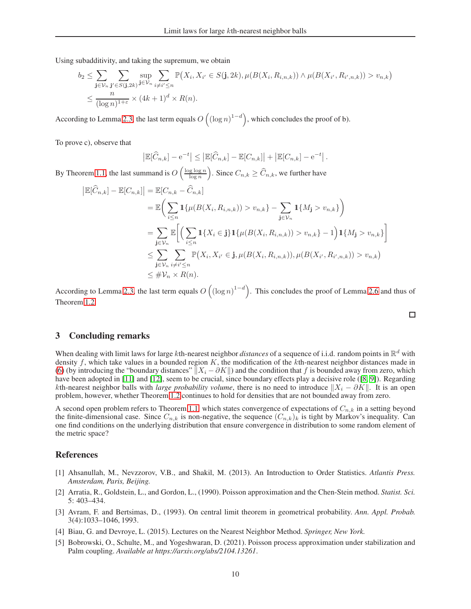Using subadditivity, and taking the supremum, we obtain

$$
b_2 \leq \sum_{\mathbf{j}\in\mathcal{V}_n} \sum_{\mathbf{j}'\in S(\mathbf{j},2k)} \sup_{\mathbf{j}\in\mathcal{V}_n} \sum_{i\neq i'\leq n} \mathbb{P}(X_i,X_{i'}\in S(\mathbf{j},2k),\mu(B(X_i,R_{i,n,k})) \wedge \mu(B(X_{i'},R_{i',n,k})) > v_{n,k})
$$
  

$$
\leq \frac{n}{(\log n)^{1+\varepsilon}} \times (4k+1)^d \times R(n).
$$

According to Lemma [2.3,](#page-4-1) the last term equals  $O((\log n)^{1-d})$ , which concludes the proof of b).

To prove c), observe that

$$
\left|\mathbb{E}[\widehat{C}_{n,k}] - e^{-t}\right| \le \left|\mathbb{E}[\widehat{C}_{n,k}] - \mathbb{E}[C_{n,k}] \right| + \left|\mathbb{E}[C_{n,k}] - e^{-t}\right|.
$$

By Theorem [1.1,](#page-1-3) the last summand is  $O\left(\frac{\log \log n}{\log n}\right)$ ). Since  $C_{n,k} \geq \widehat{C}_{n,k}$ , we further have

$$
\begin{aligned} \left| \mathbb{E}[\widehat{C}_{n,k}] - \mathbb{E}[C_{n,k}] \right| &= \mathbb{E}[C_{n,k} - \widehat{C}_{n,k}] \\ &= \mathbb{E}\bigg( \sum_{i\leq n} \mathbf{1}\{\mu(B(X_i, R_{i,n,k})) > v_{n,k}\} - \sum_{\mathbf{j}\in\mathcal{V}_n} \mathbf{1}\{M_{\mathbf{j}} > v_{n,k}\} \bigg) \\ &= \sum_{\mathbf{j}\in\mathcal{V}_n} \mathbb{E}\bigg[ \Big( \sum_{i\leq n} \mathbf{1}\{X_i \in \mathbf{j}\} \mathbf{1}\{\mu(B(X_i, R_{i,n,k})) > v_{n,k}\} - 1 \Big) \mathbf{1}\{M_{\mathbf{j}} > v_{n,k}\} \bigg] \\ &\leq \sum_{\mathbf{j}\in\mathcal{V}_n} \sum_{i\neq i'\leq n} \mathbb{P}(X_i, X_{i'} \in \mathbf{j}, \mu(B(X_i, R_{i,n,k})), \mu(B(X_{i'}, R_{i',n,k})) > v_{n,k}) \\ &\leq \#\mathcal{V}_n \times R(n). \end{aligned}
$$

According to Lemma [2.3,](#page-4-1) the last term equals  $O((\log n)^{1-d})$ . This concludes the proof of Lemma [2.6](#page-7-4) and thus of Theorem [1.2.](#page-2-0)

# 3 Concluding remarks

When dealing with limit laws for large *k*th-nearest neighbor *distances* of a sequence of i.i.d. random points in  $\mathbb{R}^d$  with density f, which take values in a bounded region  $K$ , the modification of the  $k$ th-nearest neighbor distances made in [\(6\)](#page-2-1) (by introducing the "boundary distances"  $||X_i - \partial K||$  and the condition that f is bounded away from zero, which have been adopted in [\[11\]](#page-10-4) and [\[12\]](#page-10-5), seem to be crucial, since boundary effects play a decisive role ([\[8,](#page-10-6) [9\]](#page-10-7)). Regarding kth-nearest neighbor balls with *large probability volume*, there is no need to introduce  $||X_i - \partial K||$ . It is an open problem, however, whether Theorem [1.2](#page-2-0) continues to hold for densities that are not bounded away from zero.

A second open problem refers to Theorem [1.1,](#page-1-3) which states convergence of expectations of  $C_{n,k}$  in a setting beyond the finite-dimensional case. Since  $C_{n,k}$  is non-negative, the sequence  $(C_{n,k})_k$  is tight by Markov's inequality. Can one find conditions on the underlying distribution that ensure convergence in distribution to some random element of the metric space?

## <span id="page-9-3"></span>References

- [1] Ahsanullah, M., Nevzzorov, V.B., and Shakil, M. (2013). An Introduction to Order Statistics. *Atlantis Press. Amsterdam, Paris, Beijing.*
- <span id="page-9-1"></span>[2] Arratia, R., Goldstein, L., and Gordon, L., (1990). Poisson approximation and the Chen-Stein method. *Statist. Sci.* 5: 403–434.
- <span id="page-9-4"></span>[3] Avram, F. and Bertsimas, D., (1993). On central limit theorem in geometrical probability. *Ann. Appl. Probab.* 3(4):1033–1046, 1993.
- <span id="page-9-2"></span><span id="page-9-0"></span>[4] Biau, G. and Devroye, L. (2015). Lectures on the Nearest Neighbor Method. *Springer, New York.*
- [5] Bobrowski, O., Schulte, M., and Yogeshwaran, D. (2021). Poisson process approximation under stabilization and Palm coupling. *Available at https://arxiv.org/abs/2104.13261*.